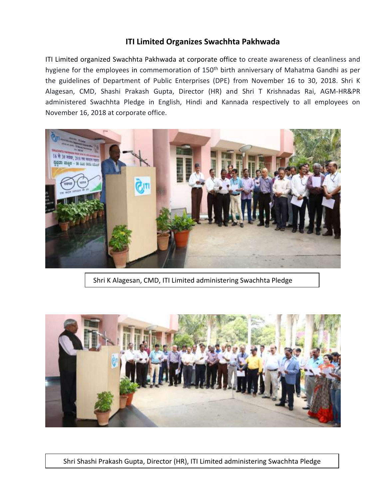## **ITI Limited Organizes Swachhta Pakhwada**

ITI Limited organized Swachhta Pakhwada at corporate office to create awareness of cleanliness and hygiene for the employees in commemoration of 150<sup>th</sup> birth anniversary of Mahatma Gandhi as per the guidelines of Department of Public Enterprises (DPE) from November 16 to 30, 2018. Shri K Alagesan, CMD, Shashi Prakash Gupta, Director (HR) and Shri T Krishnadas Rai, AGM-HR&PR administered Swachhta Pledge in English, Hindi and Kannada respectively to all employees on November 16, 2018 at corporate office.



Shri K Alagesan, CMD, ITI Limited administering Swachhta Pledge



Shri Shashi Prakash Gupta, Director (HR), ITI Limited administering Swachhta Pledge